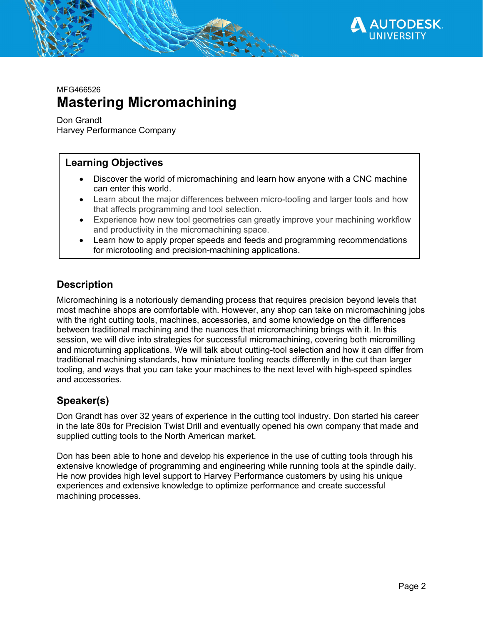

MFG466526

# **Mastering Micromachining**

Don Grandt

Harvey Performance Company

# **Learning Objectives**

- Discover the world of micromachining and learn how anyone with a CNC machine can enter this world.
- Learn about the major differences between micro-tooling and larger tools and how that affects programming and tool selection.
- Experience how new tool geometries can greatly improve your machining workflow and productivity in the micromachining space.
- Learn how to apply proper speeds and feeds and programming recommendations for microtooling and precision-machining applications.

# **Description**

Micromachining is a notoriously demanding process that requires precision beyond levels that most machine shops are comfortable with. However, any shop can take on micromachining jobs with the right cutting tools, machines, accessories, and some knowledge on the differences between traditional machining and the nuances that micromachining brings with it. In this session, we will dive into strategies for successful micromachining, covering both micromilling and microturning applications. We will talk about cutting-tool selection and how it can differ from traditional machining standards, how miniature tooling reacts differently in the cut than larger tooling, and ways that you can take your machines to the next level with high-speed spindles and accessories.

# **Speaker(s)**

Don Grandt has over 32 years of experience in the cutting tool industry. Don started his career in the late 80s for Precision Twist Drill and eventually opened his own company that made and supplied cutting tools to the North American market.

Don has been able to hone and develop his experience in the use of cutting tools through his extensive knowledge of programming and engineering while running tools at the spindle daily. He now provides high level support to Harvey Performance customers by using his unique experiences and extensive knowledge to optimize performance and create successful machining processes.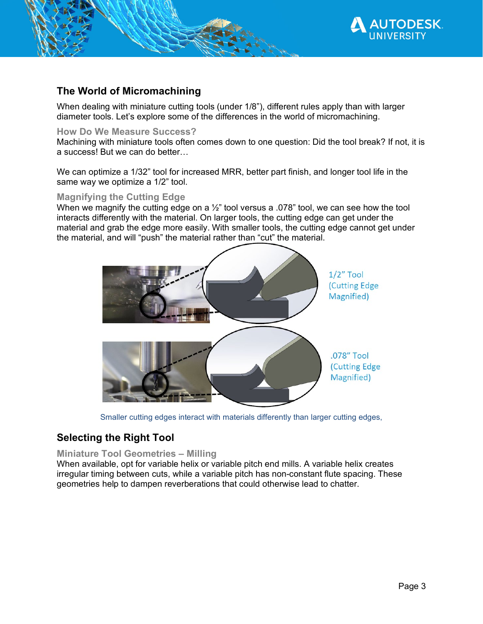

# **The World of Micromachining**

When dealing with miniature cutting tools (under 1/8"), different rules apply than with larger diameter tools. Let's explore some of the differences in the world of micromachining.

#### **How Do We Measure Success?**

Machining with miniature tools often comes down to one question: Did the tool break? If not, it is a success! But we can do better…

We can optimize a 1/32" tool for increased MRR, better part finish, and longer tool life in the same way we optimize a 1/2" tool.

## **Magnifying the Cutting Edge**

When we magnify the cutting edge on a  $\frac{1}{2}$ " tool versus a .078" tool, we can see how the tool interacts differently with the material. On larger tools, the cutting edge can get under the material and grab the edge more easily. With smaller tools, the cutting edge cannot get under the material, and will "push" the material rather than "cut" the material.



Smaller cutting edges interact with materials differently than larger cutting edges,

# **Selecting the Right Tool**

**Miniature Tool Geometries – Milling** 

When available, opt for variable helix or variable pitch end mills. A variable helix creates irregular timing between cuts, while a variable pitch has non-constant flute spacing. These geometries help to dampen reverberations that could otherwise lead to chatter.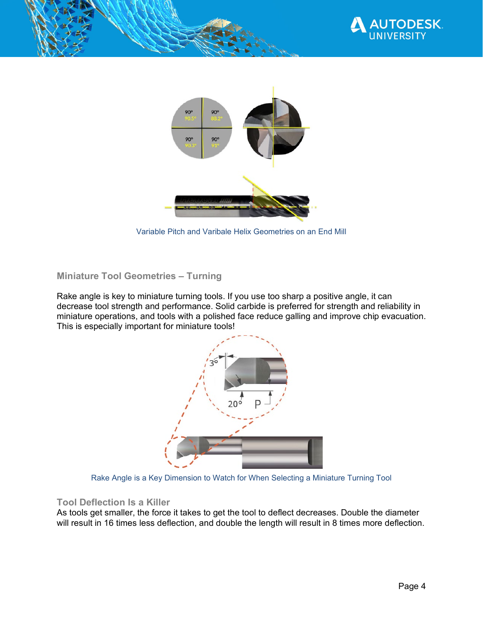



Variable Pitch and Varibale Helix Geometries on an End Mill

## **Miniature Tool Geometries – Turning**

Rake angle is key to miniature turning tools. If you use too sharp a positive angle, it can decrease tool strength and performance. Solid carbide is preferred for strength and reliability in miniature operations, and tools with a polished face reduce galling and improve chip evacuation. This is especially important for miniature tools!



Rake Angle is a Key Dimension to Watch for When Selecting a Miniature Turning Tool

#### **Tool Deflection Is a Killer**

As tools get smaller, the force it takes to get the tool to deflect decreases. Double the diameter will result in 16 times less deflection, and double the length will result in 8 times more deflection.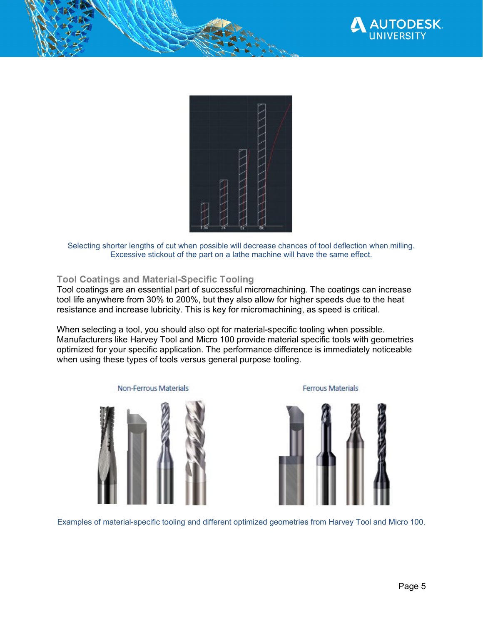



Selecting shorter lengths of cut when possible will decrease chances of tool deflection when milling. Excessive stickout of the part on a lathe machine will have the same effect.

#### **Tool Coatings and Material-Specific Tooling**

Tool coatings are an essential part of successful micromachining. The coatings can increase tool life anywhere from 30% to 200%, but they also allow for higher speeds due to the heat resistance and increase lubricity. This is key for micromachining, as speed is critical.

When selecting a tool, you should also opt for material-specific tooling when possible. Manufacturers like Harvey Tool and Micro 100 provide material specific tools with geometries optimized for your specific application. The performance difference is immediately noticeable when using these types of tools versus general purpose tooling.



**Ferrous Materials** 



Examples of material-specific tooling and different optimized geometries from Harvey Tool and Micro 100.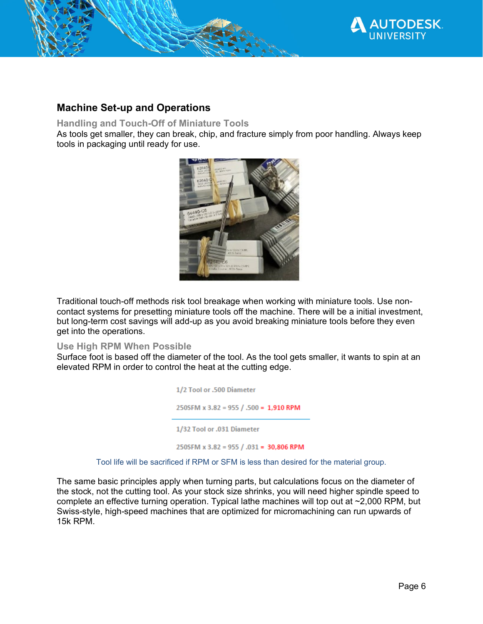

# **Machine Set-up and Operations**

## **Handling and Touch-Off of Miniature Tools**

As tools get smaller, they can break, chip, and fracture simply from poor handling. Always keep tools in packaging until ready for use.



Traditional touch-off methods risk tool breakage when working with miniature tools. Use noncontact systems for presetting miniature tools off the machine. There will be a initial investment, but long-term cost savings will add-up as you avoid breaking miniature tools before they even get into the operations.

#### **Use High RPM When Possible**

Surface foot is based off the diameter of the tool. As the tool gets smaller, it wants to spin at an elevated RPM in order to control the heat at the cutting edge.

> 1/2 Tool or .500 Diameter 250SFM x 3.82 = 955 / .500 = 1,910 RPM 1/32 Tool or .031 Diameter 250SFM x 3.82 = 955 / .031 = 30,806 RPM

Tool life will be sacrificed if RPM or SFM is less than desired for the material group.

The same basic principles apply when turning parts, but calculations focus on the diameter of the stock, not the cutting tool. As your stock size shrinks, you will need higher spindle speed to complete an effective turning operation. Typical lathe machines will top out at ~2,000 RPM, but Swiss-style, high-speed machines that are optimized for micromachining can run upwards of 15k RPM.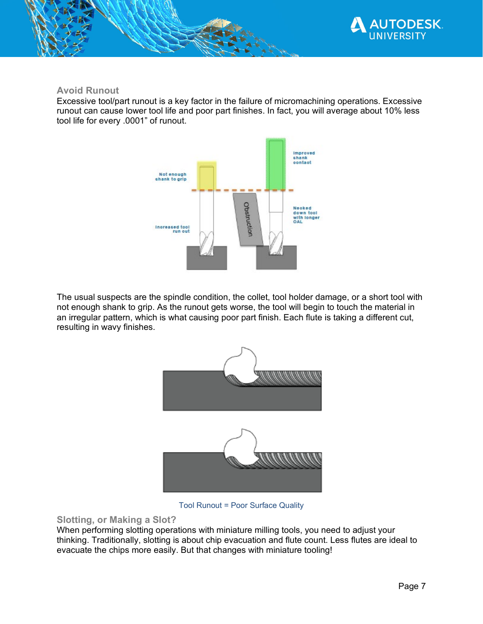

## **Avoid Runout**

Excessive tool/part runout is a key factor in the failure of micromachining operations. Excessive runout can cause lower tool life and poor part finishes. In fact, you will average about 10% less tool life for every .0001" of runout.



The usual suspects are the spindle condition, the collet, tool holder damage, or a short tool with not enough shank to grip. As the runout gets worse, the tool will begin to touch the material in an irregular pattern, which is what causing poor part finish. Each flute is taking a different cut, resulting in wavy finishes.



Tool Runout = Poor Surface Quality

## **Slotting, or Making a Slot?**

When performing slotting operations with miniature milling tools, you need to adjust your thinking. Traditionally, slotting is about chip evacuation and flute count. Less flutes are ideal to evacuate the chips more easily. But that changes with miniature tooling!